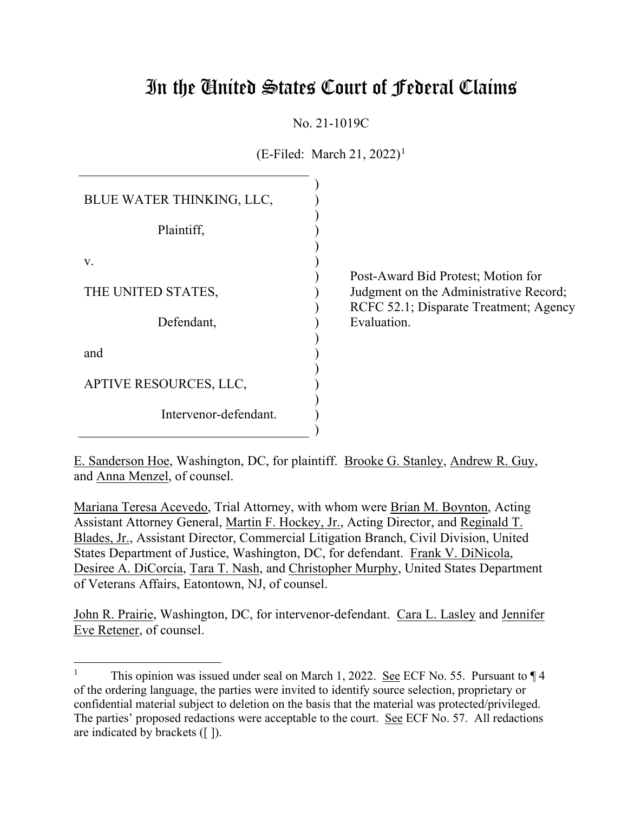# In the United States Court of Federal Claims

No. 21-1019C

 $(E\text{-Filed: March } 21, 2022)^{1}$ 

| BLUE WATER THINKING, LLC, |  |
|---------------------------|--|
| Plaintiff,                |  |
| V.                        |  |
| THE UNITED STATES,        |  |
| Defendant,                |  |
| and                       |  |
| APTIVE RESOURCES, LLC,    |  |
| Intervenor-defendant.     |  |

Post-Award Bid Protest; Motion for Judgment on the Administrative Record; RCFC 52.1; Disparate Treatment; Agency Evaluation.

E. Sanderson Hoe, Washington, DC, for plaintiff. Brooke G. Stanley, Andrew R. Guy, and Anna Menzel, of counsel.

Mariana Teresa Acevedo, Trial Attorney, with whom were Brian M. Boynton, Acting Assistant Attorney General, Martin F. Hockey, Jr., Acting Director, and Reginald T. Blades, Jr., Assistant Director, Commercial Litigation Branch, Civil Division, United States Department of Justice, Washington, DC, for defendant. Frank V. DiNicola, Desiree A. DiCorcia, Tara T. Nash, and Christopher Murphy, United States Department of Veterans Affairs, Eatontown, NJ, of counsel.

John R. Prairie, Washington, DC, for intervenor-defendant. Cara L. Lasley and Jennifer Eve Retener, of counsel.

<sup>&</sup>lt;sup>1</sup> This opinion was issued under seal on March 1, 2022. See ECF No. 55. Pursuant to  $\P$  4 of the ordering language, the parties were invited to identify source selection, proprietary or confidential material subject to deletion on the basis that the material was protected/privileged. The parties' proposed redactions were acceptable to the court. See ECF No. 57. All redactions are indicated by brackets ([ ]).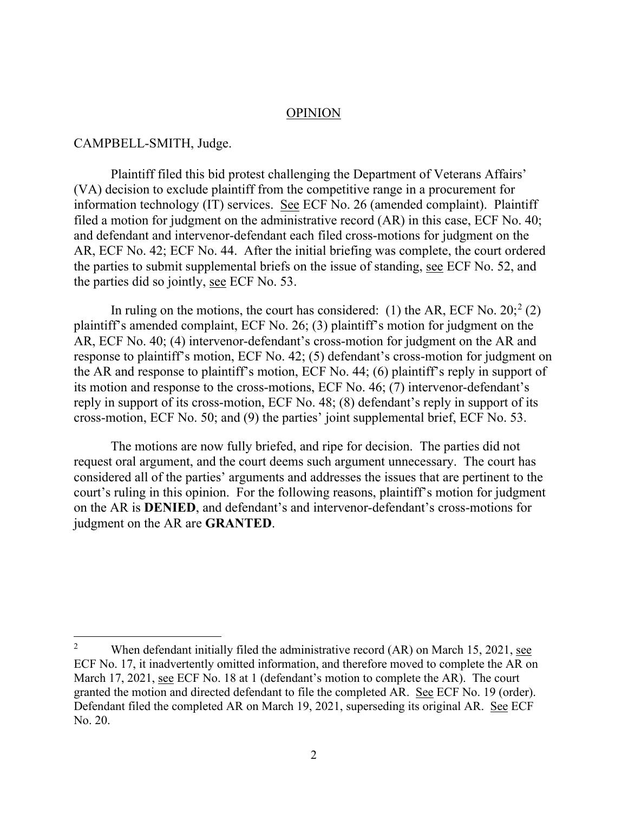#### OPINION

#### CAMPBELL-SMITH, Judge.

Plaintiff filed this bid protest challenging the Department of Veterans Affairs' (VA) decision to exclude plaintiff from the competitive range in a procurement for information technology (IT) services. See ECF No. 26 (amended complaint). Plaintiff filed a motion for judgment on the administrative record (AR) in this case, ECF No. 40; and defendant and intervenor-defendant each filed cross-motions for judgment on the AR, ECF No. 42; ECF No. 44. After the initial briefing was complete, the court ordered the parties to submit supplemental briefs on the issue of standing, see ECF No. 52, and the parties did so jointly, see ECF No. 53.

In ruling on the motions, the court has considered: (1) the AR, ECF No.  $20$ ;  $2$  (2) plaintiff's amended complaint, ECF No. 26; (3) plaintiff's motion for judgment on the AR, ECF No. 40; (4) intervenor-defendant's cross-motion for judgment on the AR and response to plaintiff's motion, ECF No. 42; (5) defendant's cross-motion for judgment on the AR and response to plaintiff's motion, ECF No. 44; (6) plaintiff's reply in support of its motion and response to the cross-motions, ECF No. 46; (7) intervenor-defendant's reply in support of its cross-motion, ECF No. 48; (8) defendant's reply in support of its cross-motion, ECF No. 50; and (9) the parties' joint supplemental brief, ECF No. 53.

The motions are now fully briefed, and ripe for decision. The parties did not request oral argument, and the court deems such argument unnecessary. The court has considered all of the parties' arguments and addresses the issues that are pertinent to the court's ruling in this opinion. For the following reasons, plaintiff's motion for judgment on the AR is **DENIED**, and defendant's and intervenor-defendant's cross-motions for judgment on the AR are **GRANTED**.

<sup>&</sup>lt;sup>2</sup> When defendant initially filed the administrative record  $(AR)$  on March 15, 2021, see ECF No. 17, it inadvertently omitted information, and therefore moved to complete the AR on March 17, 2021, see ECF No. 18 at 1 (defendant's motion to complete the AR). The court granted the motion and directed defendant to file the completed AR. See ECF No. 19 (order). Defendant filed the completed AR on March 19, 2021, superseding its original AR. See ECF No. 20.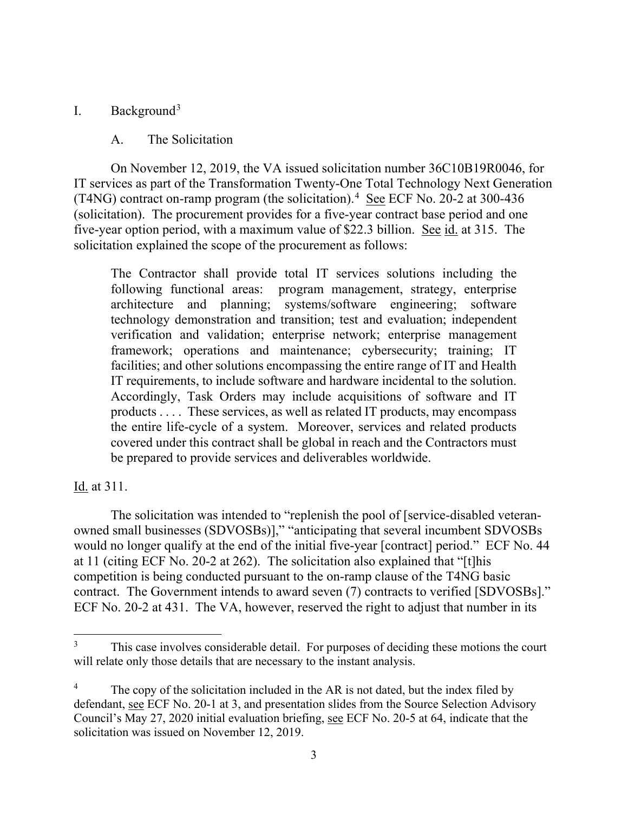# I. Background3

# A. The Solicitation

On November 12, 2019, the VA issued solicitation number 36C10B19R0046, for IT services as part of the Transformation Twenty-One Total Technology Next Generation (T4NG) contract on-ramp program (the solicitation). $4 \text{ See} ECF$  No. 20-2 at 300-436 (solicitation). The procurement provides for a five-year contract base period and one five-year option period, with a maximum value of \$22.3 billion. See id. at 315. The solicitation explained the scope of the procurement as follows:

The Contractor shall provide total IT services solutions including the following functional areas: program management, strategy, enterprise architecture and planning; systems/software engineering; software technology demonstration and transition; test and evaluation; independent verification and validation; enterprise network; enterprise management framework; operations and maintenance; cybersecurity; training; IT facilities; and other solutions encompassing the entire range of IT and Health IT requirements, to include software and hardware incidental to the solution. Accordingly, Task Orders may include acquisitions of software and IT products . . . . These services, as well as related IT products, may encompass the entire life-cycle of a system. Moreover, services and related products covered under this contract shall be global in reach and the Contractors must be prepared to provide services and deliverables worldwide.

# Id. at 311.

The solicitation was intended to "replenish the pool of [service-disabled veteranowned small businesses (SDVOSBs)]," "anticipating that several incumbent SDVOSBs would no longer qualify at the end of the initial five-year [contract] period." ECF No. 44 at 11 (citing ECF No. 20-2 at 262). The solicitation also explained that "[t]his competition is being conducted pursuant to the on-ramp clause of the T4NG basic contract. The Government intends to award seven (7) contracts to verified [SDVOSBs]." ECF No. 20-2 at 431. The VA, however, reserved the right to adjust that number in its

This case involves considerable detail. For purposes of deciding these motions the court will relate only those details that are necessary to the instant analysis.

The copy of the solicitation included in the AR is not dated, but the index filed by defendant, see ECF No. 20-1 at 3, and presentation slides from the Source Selection Advisory Council's May 27, 2020 initial evaluation briefing, see ECF No. 20-5 at 64, indicate that the solicitation was issued on November 12, 2019.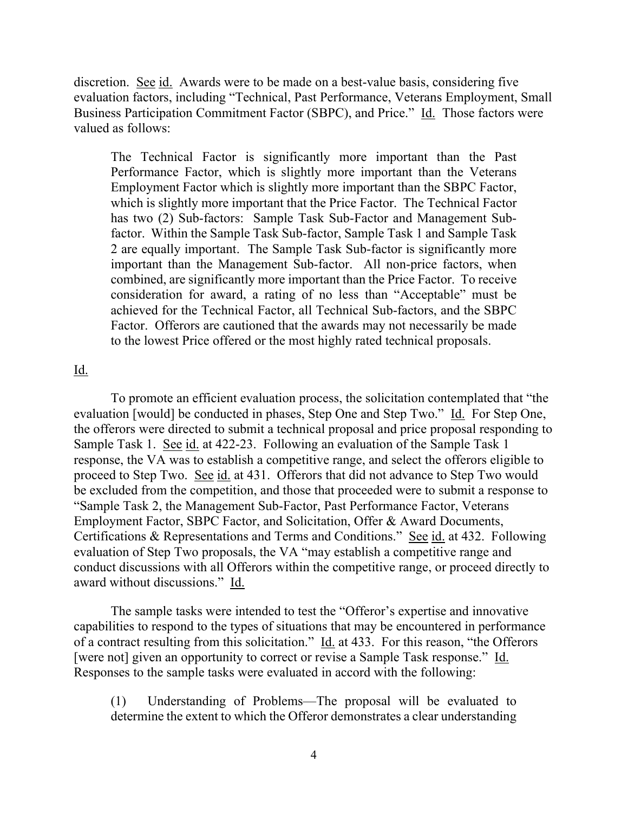discretion. See id. Awards were to be made on a best-value basis, considering five evaluation factors, including "Technical, Past Performance, Veterans Employment, Small Business Participation Commitment Factor (SBPC), and Price." Id. Those factors were valued as follows:

The Technical Factor is significantly more important than the Past Performance Factor, which is slightly more important than the Veterans Employment Factor which is slightly more important than the SBPC Factor, which is slightly more important that the Price Factor. The Technical Factor has two (2) Sub-factors: Sample Task Sub-Factor and Management Subfactor. Within the Sample Task Sub-factor, Sample Task 1 and Sample Task 2 are equally important. The Sample Task Sub-factor is significantly more important than the Management Sub-factor. All non-price factors, when combined, are significantly more important than the Price Factor. To receive consideration for award, a rating of no less than "Acceptable" must be achieved for the Technical Factor, all Technical Sub-factors, and the SBPC Factor. Offerors are cautioned that the awards may not necessarily be made to the lowest Price offered or the most highly rated technical proposals.

#### <u>Id.</u>

To promote an efficient evaluation process, the solicitation contemplated that "the evaluation [would] be conducted in phases, Step One and Step Two." Id. For Step One, the offerors were directed to submit a technical proposal and price proposal responding to Sample Task 1. See id. at 422-23. Following an evaluation of the Sample Task 1 response, the VA was to establish a competitive range, and select the offerors eligible to proceed to Step Two. See id. at 431. Offerors that did not advance to Step Two would be excluded from the competition, and those that proceeded were to submit a response to "Sample Task 2, the Management Sub-Factor, Past Performance Factor, Veterans Employment Factor, SBPC Factor, and Solicitation, Offer & Award Documents, Certifications & Representations and Terms and Conditions." See id. at 432. Following evaluation of Step Two proposals, the VA "may establish a competitive range and conduct discussions with all Offerors within the competitive range, or proceed directly to award without discussions." Id.

The sample tasks were intended to test the "Offeror's expertise and innovative capabilities to respond to the types of situations that may be encountered in performance of a contract resulting from this solicitation." Id. at 433. For this reason, "the Offerors [were not] given an opportunity to correct or revise a Sample Task response." Id. Responses to the sample tasks were evaluated in accord with the following:

(1) Understanding of Problems—The proposal will be evaluated to determine the extent to which the Offeror demonstrates a clear understanding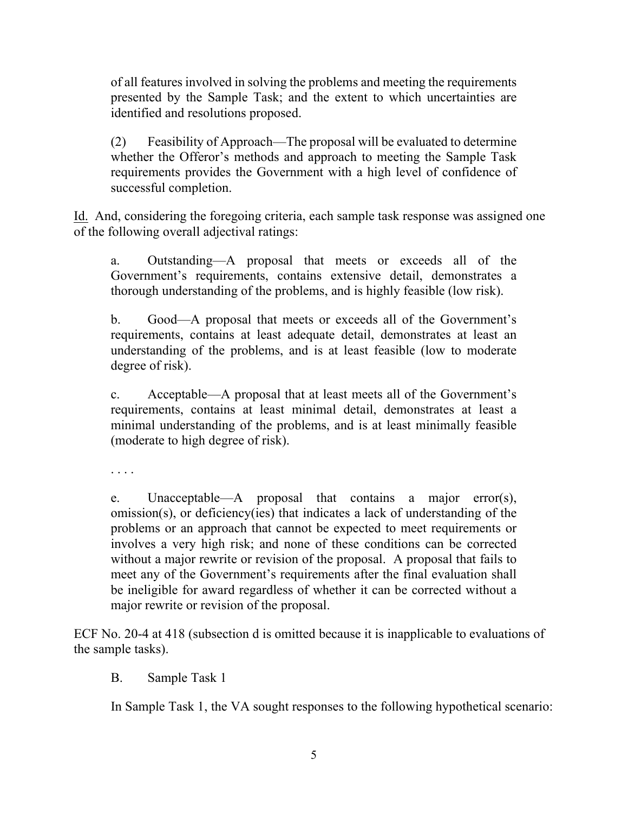of all features involved in solving the problems and meeting the requirements presented by the Sample Task; and the extent to which uncertainties are identified and resolutions proposed.

(2) Feasibility of Approach—The proposal will be evaluated to determine whether the Offeror's methods and approach to meeting the Sample Task requirements provides the Government with a high level of confidence of successful completion.

Id. And, considering the foregoing criteria, each sample task response was assigned one of the following overall adjectival ratings:

a. Outstanding—A proposal that meets or exceeds all of the Government's requirements, contains extensive detail, demonstrates a thorough understanding of the problems, and is highly feasible (low risk).

b. Good—A proposal that meets or exceeds all of the Government's requirements, contains at least adequate detail, demonstrates at least an understanding of the problems, and is at least feasible (low to moderate degree of risk).

c. Acceptable—A proposal that at least meets all of the Government's requirements, contains at least minimal detail, demonstrates at least a minimal understanding of the problems, and is at least minimally feasible (moderate to high degree of risk).

. . . .

e. Unacceptable—A proposal that contains a major error(s), omission(s), or deficiency(ies) that indicates a lack of understanding of the problems or an approach that cannot be expected to meet requirements or involves a very high risk; and none of these conditions can be corrected without a major rewrite or revision of the proposal. A proposal that fails to meet any of the Government's requirements after the final evaluation shall be ineligible for award regardless of whether it can be corrected without a major rewrite or revision of the proposal.

ECF No. 20-4 at 418 (subsection d is omitted because it is inapplicable to evaluations of the sample tasks).

B. Sample Task 1

In Sample Task 1, the VA sought responses to the following hypothetical scenario: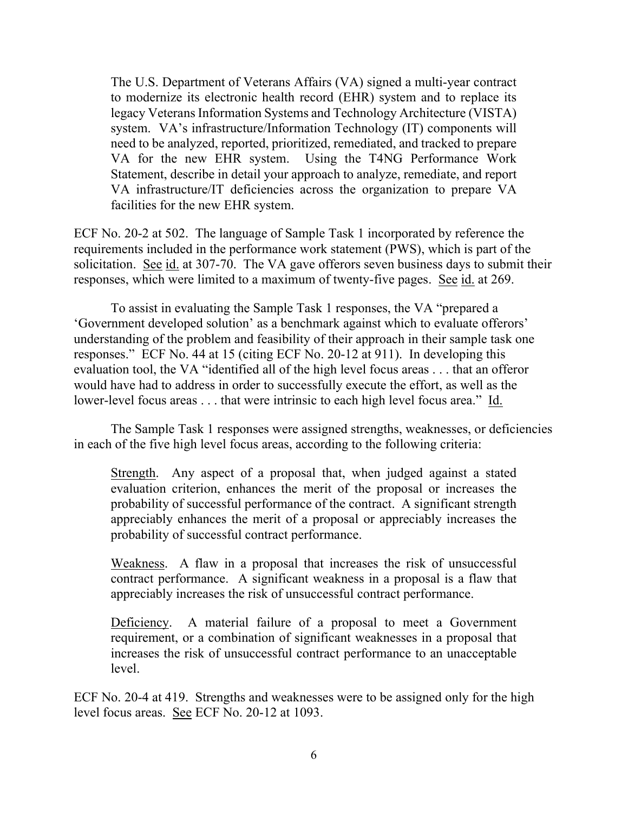The U.S. Department of Veterans Affairs (VA) signed a multi-year contract to modernize its electronic health record (EHR) system and to replace its legacy Veterans Information Systems and Technology Architecture (VISTA) system. VA's infrastructure/Information Technology (IT) components will need to be analyzed, reported, prioritized, remediated, and tracked to prepare VA for the new EHR system. Using the T4NG Performance Work Statement, describe in detail your approach to analyze, remediate, and report VA infrastructure/IT deficiencies across the organization to prepare VA facilities for the new EHR system.

ECF No. 20-2 at 502. The language of Sample Task 1 incorporated by reference the requirements included in the performance work statement (PWS), which is part of the solicitation. See id. at 307-70. The VA gave offerors seven business days to submit their responses, which were limited to a maximum of twenty-five pages. See id. at 269.

To assist in evaluating the Sample Task 1 responses, the VA "prepared a 'Government developed solution' as a benchmark against which to evaluate offerors' understanding of the problem and feasibility of their approach in their sample task one responses." ECF No. 44 at 15 (citing ECF No. 20-12 at 911). In developing this evaluation tool, the VA "identified all of the high level focus areas . . . that an offeror would have had to address in order to successfully execute the effort, as well as the lower-level focus areas . . . that were intrinsic to each high level focus area." Id.

The Sample Task 1 responses were assigned strengths, weaknesses, or deficiencies in each of the five high level focus areas, according to the following criteria:

Strength. Any aspect of a proposal that, when judged against a stated evaluation criterion, enhances the merit of the proposal or increases the probability of successful performance of the contract. A significant strength appreciably enhances the merit of a proposal or appreciably increases the probability of successful contract performance.

Weakness. A flaw in a proposal that increases the risk of unsuccessful contract performance. A significant weakness in a proposal is a flaw that appreciably increases the risk of unsuccessful contract performance.

Deficiency. A material failure of a proposal to meet a Government requirement, or a combination of significant weaknesses in a proposal that increases the risk of unsuccessful contract performance to an unacceptable level.

ECF No. 20-4 at 419. Strengths and weaknesses were to be assigned only for the high level focus areas. See ECF No. 20-12 at 1093.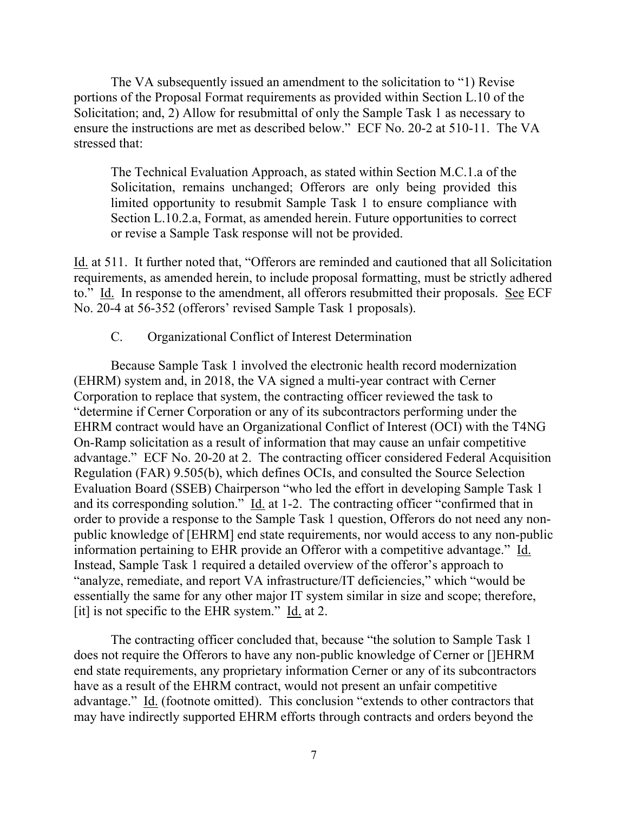The VA subsequently issued an amendment to the solicitation to "1) Revise portions of the Proposal Format requirements as provided within Section L.10 of the Solicitation; and, 2) Allow for resubmittal of only the Sample Task 1 as necessary to ensure the instructions are met as described below." ECF No. 20-2 at 510-11. The VA stressed that:

The Technical Evaluation Approach, as stated within Section M.C.1.a of the Solicitation, remains unchanged; Offerors are only being provided this limited opportunity to resubmit Sample Task 1 to ensure compliance with Section L.10.2.a, Format, as amended herein. Future opportunities to correct or revise a Sample Task response will not be provided.

Id. at 511. It further noted that, "Offerors are reminded and cautioned that all Solicitation requirements, as amended herein, to include proposal formatting, must be strictly adhered to." Id. In response to the amendment, all offerors resubmitted their proposals. See ECF No. 20-4 at 56-352 (offerors' revised Sample Task 1 proposals).

#### C. Organizational Conflict of Interest Determination

Because Sample Task 1 involved the electronic health record modernization (EHRM) system and, in 2018, the VA signed a multi-year contract with Cerner Corporation to replace that system, the contracting officer reviewed the task to "determine if Cerner Corporation or any of its subcontractors performing under the EHRM contract would have an Organizational Conflict of Interest (OCI) with the T4NG On-Ramp solicitation as a result of information that may cause an unfair competitive advantage." ECF No. 20-20 at 2. The contracting officer considered Federal Acquisition Regulation (FAR) 9.505(b), which defines OCIs, and consulted the Source Selection Evaluation Board (SSEB) Chairperson "who led the effort in developing Sample Task 1 and its corresponding solution." Id. at 1-2. The contracting officer "confirmed that in order to provide a response to the Sample Task 1 question, Offerors do not need any nonpublic knowledge of [EHRM] end state requirements, nor would access to any non-public information pertaining to EHR provide an Offeror with a competitive advantage." Id. Instead, Sample Task 1 required a detailed overview of the offeror's approach to "analyze, remediate, and report VA infrastructure/IT deficiencies," which "would be essentially the same for any other major IT system similar in size and scope; therefore, [it] is not specific to the EHR system." Id. at 2.

The contracting officer concluded that, because "the solution to Sample Task 1 does not require the Offerors to have any non-public knowledge of Cerner or []EHRM end state requirements, any proprietary information Cerner or any of its subcontractors have as a result of the EHRM contract, would not present an unfair competitive advantage." Id. (footnote omitted). This conclusion "extends to other contractors that may have indirectly supported EHRM efforts through contracts and orders beyond the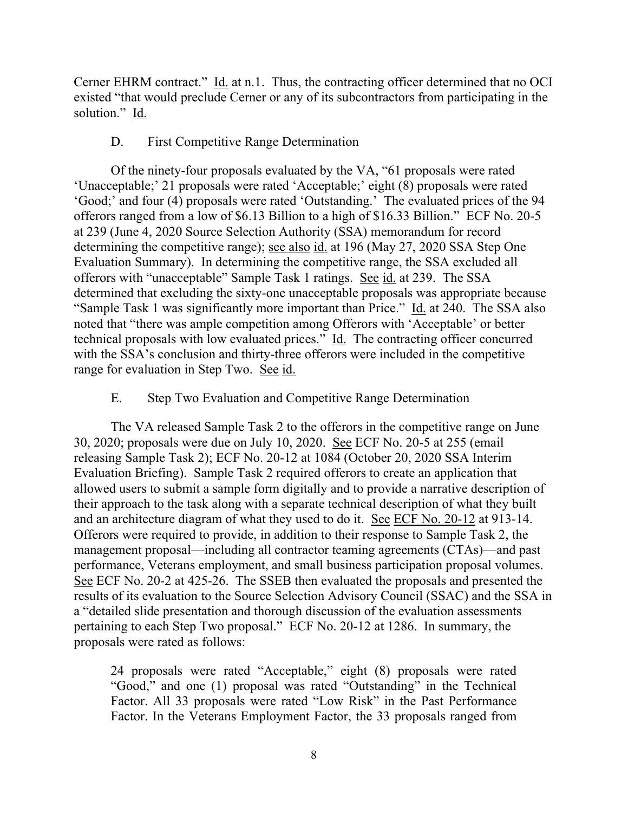Cerner EHRM contract." Id. at n.1. Thus, the contracting officer determined that no OCI existed "that would preclude Cerner or any of its subcontractors from participating in the solution." Id.

## D. First Competitive Range Determination

Of the ninety-four proposals evaluated by the VA, "61 proposals were rated 'Unacceptable;' 21 proposals were rated 'Acceptable;' eight (8) proposals were rated 'Good;' and four (4) proposals were rated 'Outstanding.' The evaluated prices of the 94 offerors ranged from a low of \$6.13 Billion to a high of \$16.33 Billion." ECF No. 20-5 at 239 (June 4, 2020 Source Selection Authority (SSA) memorandum for record determining the competitive range); see also id. at 196 (May 27, 2020 SSA Step One Evaluation Summary). In determining the competitive range, the SSA excluded all offerors with "unacceptable" Sample Task 1 ratings. See id. at 239. The SSA determined that excluding the sixty-one unacceptable proposals was appropriate because "Sample Task 1 was significantly more important than Price." Id. at 240. The SSA also noted that "there was ample competition among Offerors with 'Acceptable' or better technical proposals with low evaluated prices." Id. The contracting officer concurred with the SSA's conclusion and thirty-three offerors were included in the competitive range for evaluation in Step Two. See id.

### E. Step Two Evaluation and Competitive Range Determination

The VA released Sample Task 2 to the offerors in the competitive range on June 30, 2020; proposals were due on July 10, 2020. See ECF No. 20-5 at 255 (email releasing Sample Task 2); ECF No. 20-12 at 1084 (October 20, 2020 SSA Interim Evaluation Briefing). Sample Task 2 required offerors to create an application that allowed users to submit a sample form digitally and to provide a narrative description of their approach to the task along with a separate technical description of what they built and an architecture diagram of what they used to do it. See ECF No. 20-12 at 913-14. Offerors were required to provide, in addition to their response to Sample Task 2, the management proposal—including all contractor teaming agreements (CTAs)—and past performance, Veterans employment, and small business participation proposal volumes. See ECF No. 20-2 at 425-26. The SSEB then evaluated the proposals and presented the results of its evaluation to the Source Selection Advisory Council (SSAC) and the SSA in a "detailed slide presentation and thorough discussion of the evaluation assessments pertaining to each Step Two proposal." ECF No. 20-12 at 1286. In summary, the proposals were rated as follows:

24 proposals were rated "Acceptable," eight (8) proposals were rated "Good," and one (1) proposal was rated "Outstanding" in the Technical Factor. All 33 proposals were rated "Low Risk" in the Past Performance Factor. In the Veterans Employment Factor, the 33 proposals ranged from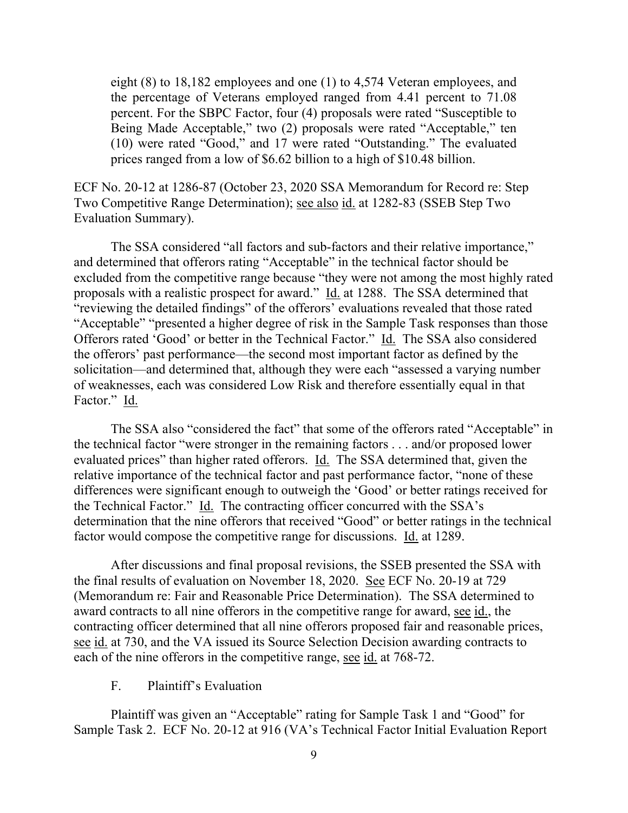eight (8) to 18,182 employees and one (1) to 4,574 Veteran employees, and the percentage of Veterans employed ranged from 4.41 percent to 71.08 percent. For the SBPC Factor, four (4) proposals were rated "Susceptible to Being Made Acceptable," two (2) proposals were rated "Acceptable," ten (10) were rated "Good," and 17 were rated "Outstanding." The evaluated prices ranged from a low of \$6.62 billion to a high of \$10.48 billion.

ECF No. 20-12 at 1286-87 (October 23, 2020 SSA Memorandum for Record re: Step Two Competitive Range Determination); see also id. at 1282-83 (SSEB Step Two Evaluation Summary).

The SSA considered "all factors and sub-factors and their relative importance," and determined that offerors rating "Acceptable" in the technical factor should be excluded from the competitive range because "they were not among the most highly rated proposals with a realistic prospect for award." Id. at 1288. The SSA determined that "reviewing the detailed findings" of the offerors' evaluations revealed that those rated "Acceptable" "presented a higher degree of risk in the Sample Task responses than those Offerors rated 'Good' or better in the Technical Factor." Id. The SSA also considered the offerors' past performance—the second most important factor as defined by the solicitation—and determined that, although they were each "assessed a varying number of weaknesses, each was considered Low Risk and therefore essentially equal in that Factor." Id.

The SSA also "considered the fact" that some of the offerors rated "Acceptable" in the technical factor "were stronger in the remaining factors . . . and/or proposed lower evaluated prices" than higher rated offerors. Id. The SSA determined that, given the relative importance of the technical factor and past performance factor, "none of these differences were significant enough to outweigh the 'Good' or better ratings received for the Technical Factor." Id. The contracting officer concurred with the SSA's determination that the nine offerors that received "Good" or better ratings in the technical factor would compose the competitive range for discussions. Id. at 1289.

After discussions and final proposal revisions, the SSEB presented the SSA with the final results of evaluation on November 18, 2020. See ECF No. 20-19 at 729 (Memorandum re: Fair and Reasonable Price Determination). The SSA determined to award contracts to all nine offerors in the competitive range for award, see id., the contracting officer determined that all nine offerors proposed fair and reasonable prices, see id. at 730, and the VA issued its Source Selection Decision awarding contracts to each of the nine offerors in the competitive range, see id. at 768-72.

# F. Plaintiff's Evaluation

Plaintiff was given an "Acceptable" rating for Sample Task 1 and "Good" for Sample Task 2. ECF No. 20-12 at 916 (VA's Technical Factor Initial Evaluation Report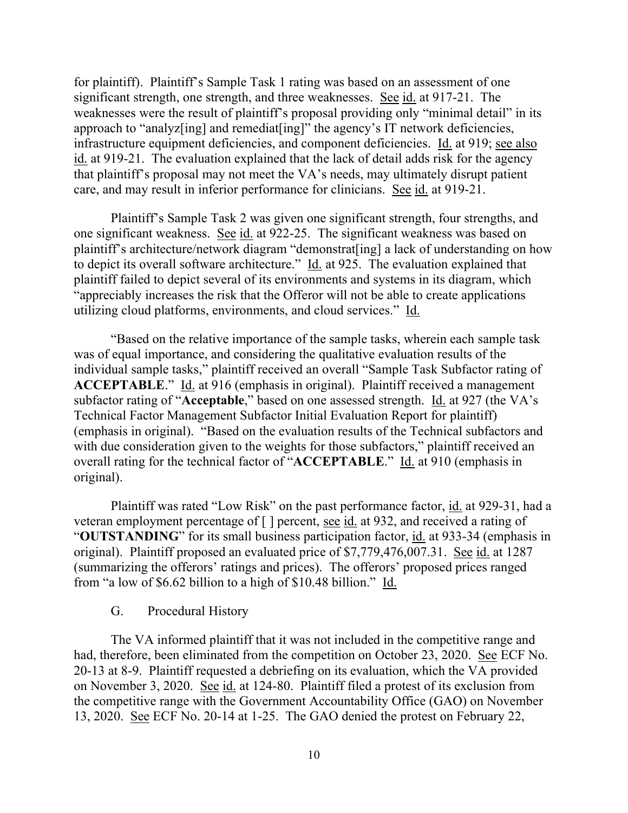for plaintiff). Plaintiff's Sample Task 1 rating was based on an assessment of one significant strength, one strength, and three weaknesses. See id. at 917-21. The weaknesses were the result of plaintiff's proposal providing only "minimal detail" in its approach to "analyz[ing] and remediat[ing]" the agency's IT network deficiencies, infrastructure equipment deficiencies, and component deficiencies. Id. at 919; see also id. at 919-21. The evaluation explained that the lack of detail adds risk for the agency that plaintiff's proposal may not meet the VA's needs, may ultimately disrupt patient care, and may result in inferior performance for clinicians. See id. at 919-21.

Plaintiff's Sample Task 2 was given one significant strength, four strengths, and one significant weakness. See id. at 922-25. The significant weakness was based on plaintiff's architecture/network diagram "demonstrat[ing] a lack of understanding on how to depict its overall software architecture." Id. at 925. The evaluation explained that plaintiff failed to depict several of its environments and systems in its diagram, which "appreciably increases the risk that the Offeror will not be able to create applications utilizing cloud platforms, environments, and cloud services." Id.

"Based on the relative importance of the sample tasks, wherein each sample task was of equal importance, and considering the qualitative evaluation results of the individual sample tasks," plaintiff received an overall "Sample Task Subfactor rating of **ACCEPTABLE**." Id. at 916 (emphasis in original). Plaintiff received a management subfactor rating of "**Acceptable**," based on one assessed strength. Id. at 927 (the VA's Technical Factor Management Subfactor Initial Evaluation Report for plaintiff) (emphasis in original). "Based on the evaluation results of the Technical subfactors and with due consideration given to the weights for those subfactors," plaintiff received an overall rating for the technical factor of "**ACCEPTABLE**." Id. at 910 (emphasis in original).

Plaintiff was rated "Low Risk" on the past performance factor, id. at 929-31, had a veteran employment percentage of [ ] percent, see id. at 932, and received a rating of "**OUTSTANDING**" for its small business participation factor, id. at 933-34 (emphasis in original). Plaintiff proposed an evaluated price of \$7,779,476,007.31. See id. at 1287 (summarizing the offerors' ratings and prices). The offerors' proposed prices ranged from "a low of \$6.62 billion to a high of \$10.48 billion." Id.

#### G. Procedural History

The VA informed plaintiff that it was not included in the competitive range and had, therefore, been eliminated from the competition on October 23, 2020. See ECF No. 20-13 at 8-9. Plaintiff requested a debriefing on its evaluation, which the VA provided on November 3, 2020. See id. at 124-80. Plaintiff filed a protest of its exclusion from the competitive range with the Government Accountability Office (GAO) on November 13, 2020. See ECF No. 20-14 at 1-25. The GAO denied the protest on February 22,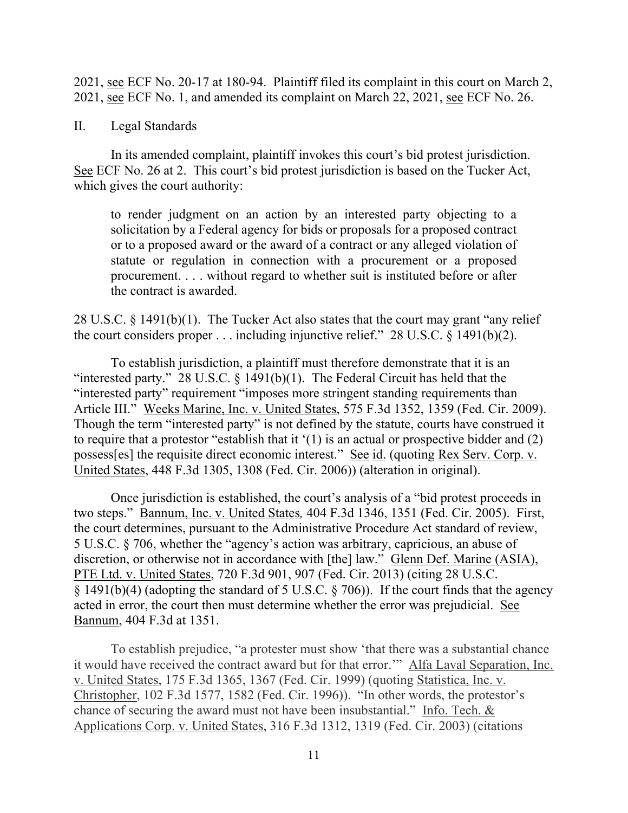2021, see ECF No. 20-17 at 180-94. Plaintiff filed its complaint in this court on March 2, 2021, see ECF No. 1, and amended its complaint on March 22, 2021, see ECF No. 26.

#### II. Legal Standards

In its amended complaint, plaintiff invokes this court's bid protest jurisdiction. See ECF No. 26 at 2. This court's bid protest jurisdiction is based on the Tucker Act, which gives the court authority:

to render judgment on an action by an interested party objecting to a solicitation by a Federal agency for bids or proposals for a proposed contract or to a proposed award or the award of a contract or any alleged violation of statute or regulation in connection with a procurement or a proposed procurement. . . . without regard to whether suit is instituted before or after the contract is awarded.

28 U.S.C. § 1491(b)(1). The Tucker Act also states that the court may grant "any relief the court considers proper . . . including injunctive relief." 28 U.S.C. § 1491(b)(2).

To establish jurisdiction, a plaintiff must therefore demonstrate that it is an "interested party." 28 U.S.C.  $\S$  1491(b)(1). The Federal Circuit has held that the "interested party" requirement "imposes more stringent standing requirements than Article III." Weeks Marine, Inc. v. United States, 575 F.3d 1352, 1359 (Fed. Cir. 2009). Though the term "interested party" is not defined by the statute, courts have construed it to require that a protestor "establish that it '(1) is an actual or prospective bidder and (2) possess[es] the requisite direct economic interest." See id. (quoting Rex Serv. Corp. v. United States, 448 F.3d 1305, 1308 (Fed. Cir. 2006)) (alteration in original).

Once jurisdiction is established, the court's analysis of a "bid protest proceeds in two steps." Bannum, Inc. v. United States*,* 404 F.3d 1346, 1351 (Fed. Cir. 2005). First, the court determines, pursuant to the Administrative Procedure Act standard of review, 5 U.S.C. § 706, whether the "agency's action was arbitrary, capricious, an abuse of discretion, or otherwise not in accordance with [the] law." Glenn Def. Marine (ASIA), PTE Ltd. v. United States, 720 F.3d 901, 907 (Fed. Cir. 2013) (citing 28 U.S.C. § 1491(b)(4) (adopting the standard of 5 U.S.C. § 706)). If the court finds that the agency acted in error, the court then must determine whether the error was prejudicial. See Bannum, 404 F.3d at 1351.

To establish prejudice, "a protester must show 'that there was a substantial chance it would have received the contract award but for that error.'" Alfa Laval Separation, Inc. v. United States, 175 F.3d 1365, 1367 (Fed. Cir. 1999) (quoting Statistica, Inc. v. Christopher, 102 F.3d 1577, 1582 (Fed. Cir. 1996)). "In other words, the protestor's chance of securing the award must not have been insubstantial." Info. Tech. & Applications Corp. v. United States, 316 F.3d 1312, 1319 (Fed. Cir. 2003) (citations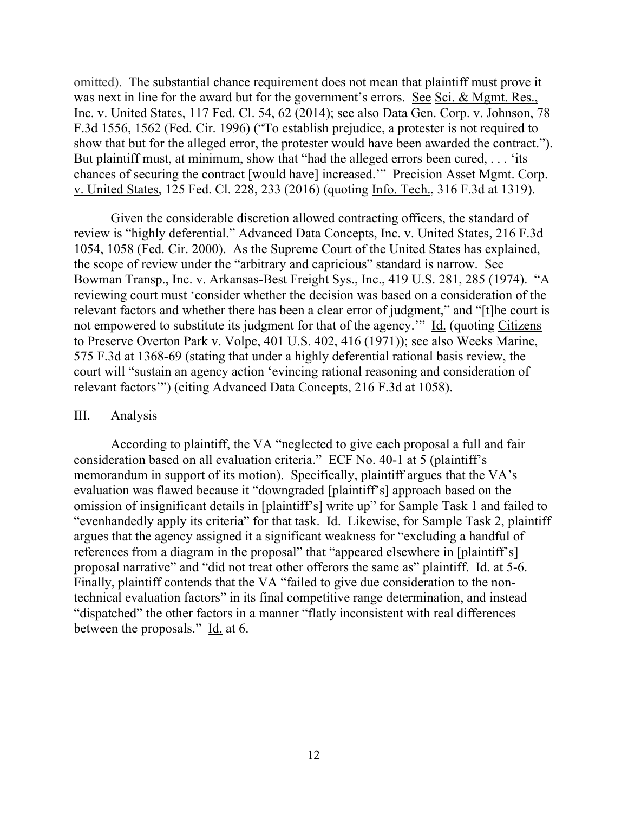omitted). The substantial chance requirement does not mean that plaintiff must prove it was next in line for the award but for the government's errors. See Sci. & Mgmt. Res., Inc. v. United States, 117 Fed. Cl. 54, 62 (2014); see also Data Gen. Corp. v. Johnson, 78 F.3d 1556, 1562 (Fed. Cir. 1996) ("To establish prejudice, a protester is not required to show that but for the alleged error, the protester would have been awarded the contract."). But plaintiff must, at minimum, show that "had the alleged errors been cured, . . . 'its chances of securing the contract [would have] increased.'" Precision Asset Mgmt. Corp. v. United States, 125 Fed. Cl. 228, 233 (2016) (quoting Info. Tech., 316 F.3d at 1319).

Given the considerable discretion allowed contracting officers, the standard of review is "highly deferential." Advanced Data Concepts, Inc. v. United States, 216 F.3d 1054, 1058 (Fed. Cir. 2000). As the Supreme Court of the United States has explained, the scope of review under the "arbitrary and capricious" standard is narrow. See Bowman Transp., Inc. v. Arkansas-Best Freight Sys., Inc., 419 U.S. 281, 285 (1974). "A reviewing court must 'consider whether the decision was based on a consideration of the relevant factors and whether there has been a clear error of judgment," and "[t]he court is not empowered to substitute its judgment for that of the agency.'" Id. (quoting Citizens to Preserve Overton Park v. Volpe, 401 U.S. 402, 416 (1971)); see also Weeks Marine, 575 F.3d at 1368-69 (stating that under a highly deferential rational basis review, the court will "sustain an agency action 'evincing rational reasoning and consideration of relevant factors'") (citing Advanced Data Concepts, 216 F.3d at 1058).

#### III. Analysis

According to plaintiff, the VA "neglected to give each proposal a full and fair consideration based on all evaluation criteria." ECF No. 40-1 at 5 (plaintiff's memorandum in support of its motion). Specifically, plaintiff argues that the VA's evaluation was flawed because it "downgraded [plaintiff's] approach based on the omission of insignificant details in [plaintiff's] write up" for Sample Task 1 and failed to "evenhandedly apply its criteria" for that task. Id. Likewise, for Sample Task 2, plaintiff argues that the agency assigned it a significant weakness for "excluding a handful of references from a diagram in the proposal" that "appeared elsewhere in [plaintiff's] proposal narrative" and "did not treat other offerors the same as" plaintiff. Id. at 5-6. Finally, plaintiff contends that the VA "failed to give due consideration to the nontechnical evaluation factors" in its final competitive range determination, and instead "dispatched" the other factors in a manner "flatly inconsistent with real differences between the proposals." Id. at 6.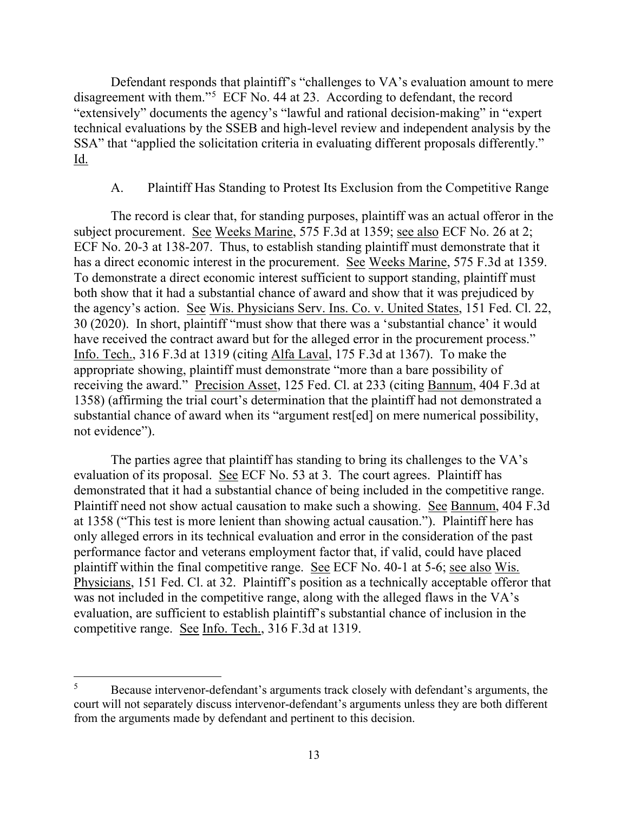Defendant responds that plaintiff's "challenges to VA's evaluation amount to mere disagreement with them."5 ECF No. 44 at 23. According to defendant, the record "extensively" documents the agency's "lawful and rational decision-making" in "expert technical evaluations by the SSEB and high-level review and independent analysis by the SSA" that "applied the solicitation criteria in evaluating different proposals differently." Id.

# A. Plaintiff Has Standing to Protest Its Exclusion from the Competitive Range

The record is clear that, for standing purposes, plaintiff was an actual offeror in the subject procurement. See Weeks Marine, 575 F.3d at 1359; see also ECF No. 26 at 2; ECF No. 20-3 at 138-207. Thus, to establish standing plaintiff must demonstrate that it has a direct economic interest in the procurement. See Weeks Marine, 575 F.3d at 1359. To demonstrate a direct economic interest sufficient to support standing, plaintiff must both show that it had a substantial chance of award and show that it was prejudiced by the agency's action. See Wis. Physicians Serv. Ins. Co. v. United States, 151 Fed. Cl. 22, 30 (2020). In short, plaintiff "must show that there was a 'substantial chance' it would have received the contract award but for the alleged error in the procurement process." Info. Tech., 316 F.3d at 1319 (citing Alfa Laval, 175 F.3d at 1367). To make the appropriate showing, plaintiff must demonstrate "more than a bare possibility of receiving the award." Precision Asset, 125 Fed. Cl. at 233 (citing Bannum, 404 F.3d at 1358) (affirming the trial court's determination that the plaintiff had not demonstrated a substantial chance of award when its "argument rest[ed] on mere numerical possibility, not evidence").

The parties agree that plaintiff has standing to bring its challenges to the VA's evaluation of its proposal. See ECF No. 53 at 3. The court agrees. Plaintiff has demonstrated that it had a substantial chance of being included in the competitive range. Plaintiff need not show actual causation to make such a showing. See Bannum, 404 F.3d at 1358 ("This test is more lenient than showing actual causation."). Plaintiff here has only alleged errors in its technical evaluation and error in the consideration of the past performance factor and veterans employment factor that, if valid, could have placed plaintiff within the final competitive range. See ECF No. 40-1 at 5-6; see also Wis. Physicians, 151 Fed. Cl. at 32. Plaintiff's position as a technically acceptable offeror that was not included in the competitive range, along with the alleged flaws in the VA's evaluation, are sufficient to establish plaintiff's substantial chance of inclusion in the competitive range. See Info. Tech., 316 F.3d at 1319.

<sup>&</sup>lt;sup>5</sup> Because intervenor-defendant's arguments track closely with defendant's arguments, the court will not separately discuss intervenor-defendant's arguments unless they are both different from the arguments made by defendant and pertinent to this decision.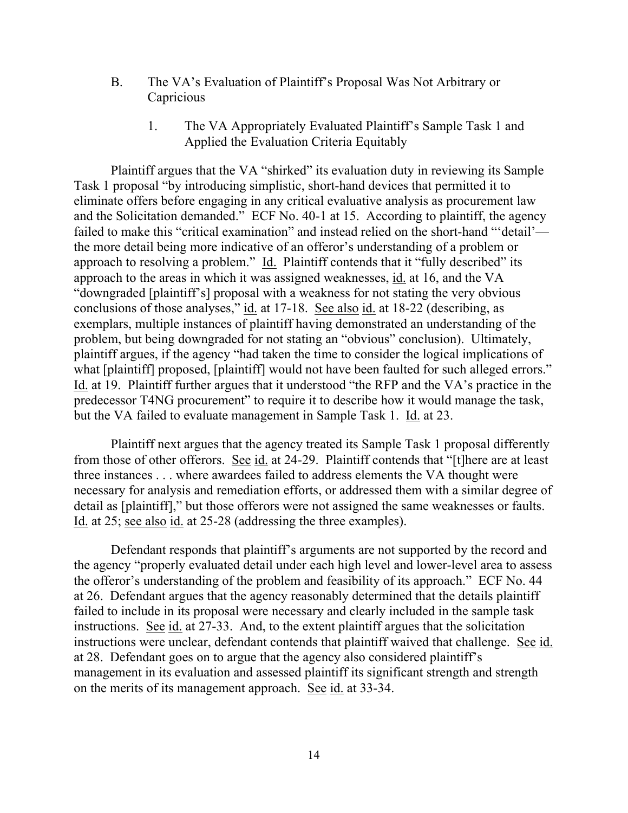- B. The VA's Evaluation of Plaintiff's Proposal Was Not Arbitrary or **Capricious** 
	- 1. The VA Appropriately Evaluated Plaintiff's Sample Task 1 and Applied the Evaluation Criteria Equitably

Plaintiff argues that the VA "shirked" its evaluation duty in reviewing its Sample Task 1 proposal "by introducing simplistic, short-hand devices that permitted it to eliminate offers before engaging in any critical evaluative analysis as procurement law and the Solicitation demanded." ECF No. 40-1 at 15. According to plaintiff, the agency failed to make this "critical examination" and instead relied on the short-hand "'detail' the more detail being more indicative of an offeror's understanding of a problem or approach to resolving a problem." Id. Plaintiff contends that it "fully described" its approach to the areas in which it was assigned weaknesses, id. at 16, and the VA "downgraded [plaintiff's] proposal with a weakness for not stating the very obvious conclusions of those analyses," id. at 17-18. See also id. at 18-22 (describing, as exemplars, multiple instances of plaintiff having demonstrated an understanding of the problem, but being downgraded for not stating an "obvious" conclusion). Ultimately, plaintiff argues, if the agency "had taken the time to consider the logical implications of what [plaintiff] proposed, [plaintiff] would not have been faulted for such alleged errors." Id. at 19. Plaintiff further argues that it understood "the RFP and the VA's practice in the predecessor T4NG procurement" to require it to describe how it would manage the task, but the VA failed to evaluate management in Sample Task 1. Id. at 23.

Plaintiff next argues that the agency treated its Sample Task 1 proposal differently from those of other offerors. See id. at 24-29. Plaintiff contends that "[t] here are at least three instances . . . where awardees failed to address elements the VA thought were necessary for analysis and remediation efforts, or addressed them with a similar degree of detail as [plaintiff]," but those offerors were not assigned the same weaknesses or faults. Id. at 25; see also id. at 25-28 (addressing the three examples).

Defendant responds that plaintiff's arguments are not supported by the record and the agency "properly evaluated detail under each high level and lower-level area to assess the offeror's understanding of the problem and feasibility of its approach." ECF No. 44 at 26. Defendant argues that the agency reasonably determined that the details plaintiff failed to include in its proposal were necessary and clearly included in the sample task instructions. See id. at 27-33. And, to the extent plaintiff argues that the solicitation instructions were unclear, defendant contends that plaintiff waived that challenge. See id. at 28. Defendant goes on to argue that the agency also considered plaintiff's management in its evaluation and assessed plaintiff its significant strength and strength on the merits of its management approach. See id. at 33-34.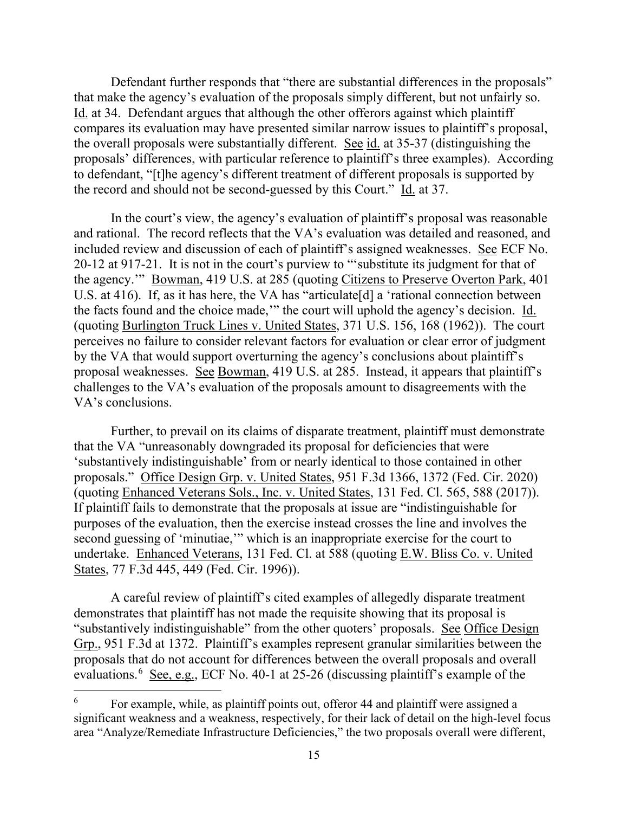Defendant further responds that "there are substantial differences in the proposals" that make the agency's evaluation of the proposals simply different, but not unfairly so. Id. at 34. Defendant argues that although the other offerors against which plaintiff compares its evaluation may have presented similar narrow issues to plaintiff's proposal, the overall proposals were substantially different. See id. at 35-37 (distinguishing the proposals' differences, with particular reference to plaintiff's three examples). According to defendant, "[t]he agency's different treatment of different proposals is supported by the record and should not be second-guessed by this Court." Id. at 37.

In the court's view, the agency's evaluation of plaintiff's proposal was reasonable and rational. The record reflects that the VA's evaluation was detailed and reasoned, and included review and discussion of each of plaintiff's assigned weaknesses. See ECF No. 20-12 at 917-21. It is not in the court's purview to "'substitute its judgment for that of the agency.'" Bowman, 419 U.S. at 285 (quoting Citizens to Preserve Overton Park, 401 U.S. at 416). If, as it has here, the VA has "articulate[d] a 'rational connection between the facts found and the choice made,'" the court will uphold the agency's decision. Id. (quoting Burlington Truck Lines v. United States, 371 U.S. 156, 168 (1962)). The court perceives no failure to consider relevant factors for evaluation or clear error of judgment by the VA that would support overturning the agency's conclusions about plaintiff's proposal weaknesses. See Bowman, 419 U.S. at 285. Instead, it appears that plaintiff's challenges to the VA's evaluation of the proposals amount to disagreements with the VA's conclusions.

Further, to prevail on its claims of disparate treatment, plaintiff must demonstrate that the VA "unreasonably downgraded its proposal for deficiencies that were 'substantively indistinguishable' from or nearly identical to those contained in other proposals." Office Design Grp. v. United States, 951 F.3d 1366, 1372 (Fed. Cir. 2020) (quoting Enhanced Veterans Sols., Inc. v. United States, 131 Fed. Cl. 565, 588 (2017)). If plaintiff fails to demonstrate that the proposals at issue are "indistinguishable for purposes of the evaluation, then the exercise instead crosses the line and involves the second guessing of 'minutiae,'" which is an inappropriate exercise for the court to undertake. Enhanced Veterans, 131 Fed. Cl. at 588 (quoting E.W. Bliss Co. v. United States, 77 F.3d 445, 449 (Fed. Cir. 1996)).

A careful review of plaintiff's cited examples of allegedly disparate treatment demonstrates that plaintiff has not made the requisite showing that its proposal is "substantively indistinguishable" from the other quoters' proposals. See Office Design Grp., 951 F.3d at 1372. Plaintiff's examples represent granular similarities between the proposals that do not account for differences between the overall proposals and overall evaluations.<sup>6</sup> See, e.g., ECF No. 40-1 at 25-26 (discussing plaintiff's example of the

 $6\,$  For example, while, as plaintiff points out, offeror 44 and plaintiff were assigned a significant weakness and a weakness, respectively, for their lack of detail on the high-level focus area "Analyze/Remediate Infrastructure Deficiencies," the two proposals overall were different,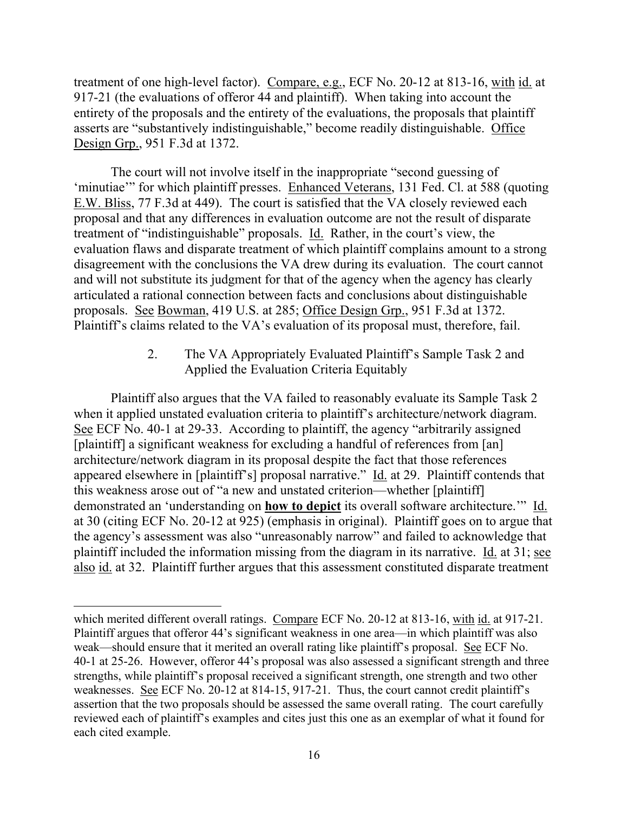treatment of one high-level factor). Compare, e.g., ECF No. 20-12 at 813-16, with id. at 917-21 (the evaluations of offeror 44 and plaintiff). When taking into account the entirety of the proposals and the entirety of the evaluations, the proposals that plaintiff asserts are "substantively indistinguishable," become readily distinguishable. Office Design Grp., 951 F.3d at 1372.

The court will not involve itself in the inappropriate "second guessing of 'minutiae'" for which plaintiff presses. Enhanced Veterans, 131 Fed. Cl. at 588 (quoting E.W. Bliss, 77 F.3d at 449). The court is satisfied that the VA closely reviewed each proposal and that any differences in evaluation outcome are not the result of disparate treatment of "indistinguishable" proposals. Id. Rather, in the court's view, the evaluation flaws and disparate treatment of which plaintiff complains amount to a strong disagreement with the conclusions the VA drew during its evaluation. The court cannot and will not substitute its judgment for that of the agency when the agency has clearly articulated a rational connection between facts and conclusions about distinguishable proposals. See Bowman, 419 U.S. at 285; Office Design Grp., 951 F.3d at 1372. Plaintiff's claims related to the VA's evaluation of its proposal must, therefore, fail.

> 2. The VA Appropriately Evaluated Plaintiff's Sample Task 2 and Applied the Evaluation Criteria Equitably

Plaintiff also argues that the VA failed to reasonably evaluate its Sample Task 2 when it applied unstated evaluation criteria to plaintiff's architecture/network diagram. See ECF No. 40-1 at 29-33. According to plaintiff, the agency "arbitrarily assigned [plaintiff] a significant weakness for excluding a handful of references from [an] architecture/network diagram in its proposal despite the fact that those references appeared elsewhere in [plaintiff's] proposal narrative." Id. at 29. Plaintiff contends that this weakness arose out of "a new and unstated criterion—whether [plaintiff] demonstrated an 'understanding on **how to depict** its overall software architecture.'" Id. at 30 (citing ECF No. 20-12 at 925) (emphasis in original). Plaintiff goes on to argue that the agency's assessment was also "unreasonably narrow" and failed to acknowledge that plaintiff included the information missing from the diagram in its narrative. Id. at 31; see also id. at 32. Plaintiff further argues that this assessment constituted disparate treatment

which merited different overall ratings. Compare ECF No. 20-12 at 813-16, with id. at 917-21. Plaintiff argues that offeror 44's significant weakness in one area—in which plaintiff was also weak—should ensure that it merited an overall rating like plaintiff's proposal. See ECF No. 40-1 at 25-26. However, offeror 44's proposal was also assessed a significant strength and three strengths, while plaintiff's proposal received a significant strength, one strength and two other weaknesses. See ECF No. 20-12 at 814-15, 917-21. Thus, the court cannot credit plaintiff's assertion that the two proposals should be assessed the same overall rating. The court carefully reviewed each of plaintiff's examples and cites just this one as an exemplar of what it found for each cited example.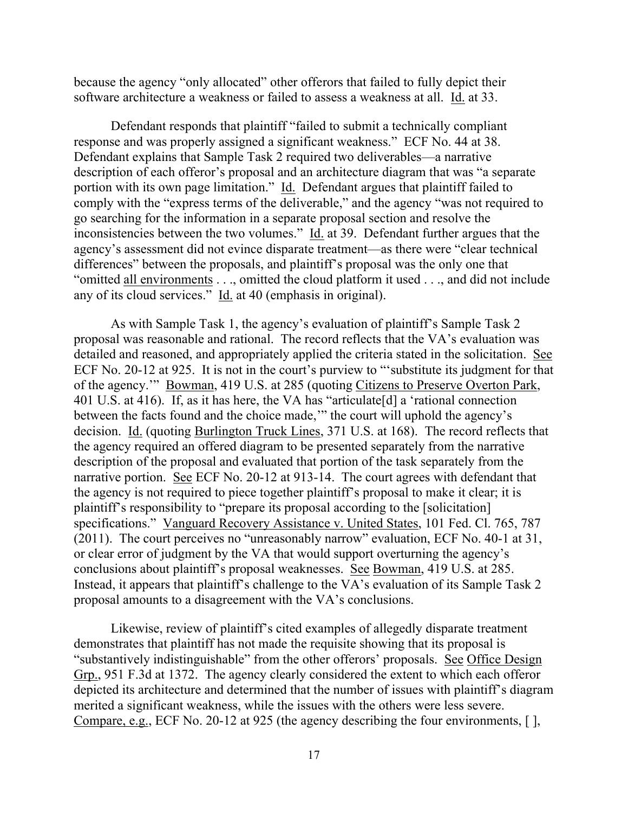because the agency "only allocated" other offerors that failed to fully depict their software architecture a weakness or failed to assess a weakness at all. Id. at 33.

Defendant responds that plaintiff "failed to submit a technically compliant response and was properly assigned a significant weakness." ECF No. 44 at 38. Defendant explains that Sample Task 2 required two deliverables—a narrative description of each offeror's proposal and an architecture diagram that was "a separate portion with its own page limitation." Id. Defendant argues that plaintiff failed to comply with the "express terms of the deliverable," and the agency "was not required to go searching for the information in a separate proposal section and resolve the inconsistencies between the two volumes." Id. at 39. Defendant further argues that the agency's assessment did not evince disparate treatment—as there were "clear technical differences" between the proposals, and plaintiff's proposal was the only one that "omitted all environments . . ., omitted the cloud platform it used . . ., and did not include any of its cloud services." Id. at 40 (emphasis in original).

As with Sample Task 1, the agency's evaluation of plaintiff's Sample Task 2 proposal was reasonable and rational. The record reflects that the VA's evaluation was detailed and reasoned, and appropriately applied the criteria stated in the solicitation. See ECF No. 20-12 at 925. It is not in the court's purview to "'substitute its judgment for that of the agency.'" Bowman, 419 U.S. at 285 (quoting Citizens to Preserve Overton Park, 401 U.S. at 416). If, as it has here, the VA has "articulate[d] a 'rational connection between the facts found and the choice made,'" the court will uphold the agency's decision. Id. (quoting Burlington Truck Lines, 371 U.S. at 168). The record reflects that the agency required an offered diagram to be presented separately from the narrative description of the proposal and evaluated that portion of the task separately from the narrative portion. See ECF No. 20-12 at 913-14. The court agrees with defendant that the agency is not required to piece together plaintiff's proposal to make it clear; it is plaintiff's responsibility to "prepare its proposal according to the [solicitation] specifications." Vanguard Recovery Assistance v. United States, 101 Fed. Cl. 765, 787 (2011). The court perceives no "unreasonably narrow" evaluation, ECF No. 40-1 at 31, or clear error of judgment by the VA that would support overturning the agency's conclusions about plaintiff's proposal weaknesses. See Bowman, 419 U.S. at 285. Instead, it appears that plaintiff's challenge to the VA's evaluation of its Sample Task 2 proposal amounts to a disagreement with the VA's conclusions.

Likewise, review of plaintiff's cited examples of allegedly disparate treatment demonstrates that plaintiff has not made the requisite showing that its proposal is "substantively indistinguishable" from the other offerors' proposals. See Office Design Grp., 951 F.3d at 1372. The agency clearly considered the extent to which each offeror depicted its architecture and determined that the number of issues with plaintiff's diagram merited a significant weakness, while the issues with the others were less severe. Compare, e.g., ECF No. 20-12 at 925 (the agency describing the four environments, [ ],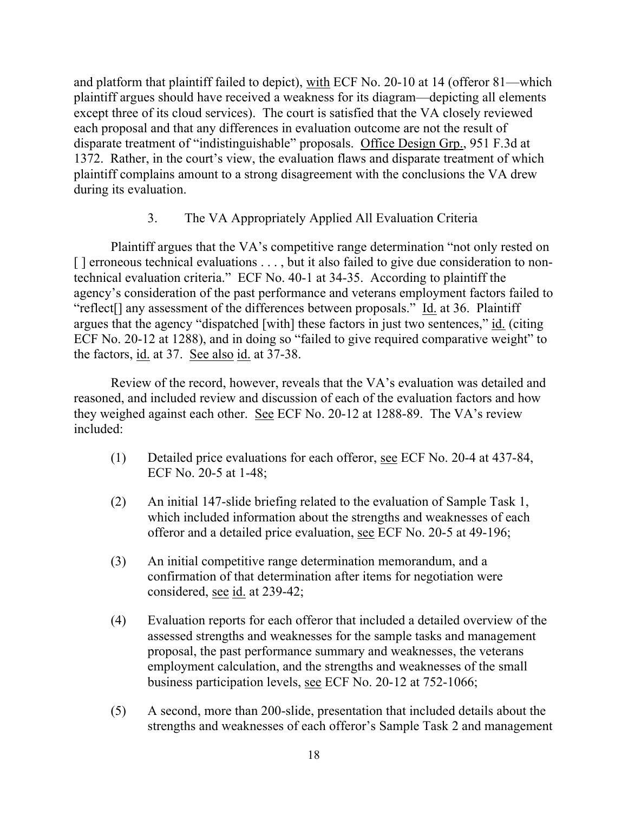and platform that plaintiff failed to depict), with ECF No. 20-10 at 14 (offeror 81—which plaintiff argues should have received a weakness for its diagram—depicting all elements except three of its cloud services). The court is satisfied that the VA closely reviewed each proposal and that any differences in evaluation outcome are not the result of disparate treatment of "indistinguishable" proposals. Office Design Grp., 951 F.3d at 1372. Rather, in the court's view, the evaluation flaws and disparate treatment of which plaintiff complains amount to a strong disagreement with the conclusions the VA drew during its evaluation.

# 3. The VA Appropriately Applied All Evaluation Criteria

Plaintiff argues that the VA's competitive range determination "not only rested on [] erroneous technical evaluations . . . , but it also failed to give due consideration to nontechnical evaluation criteria." ECF No. 40-1 at 34-35. According to plaintiff the agency's consideration of the past performance and veterans employment factors failed to "reflect<sup>[]</sup> any assessment of the differences between proposals." Id. at 36. Plaintiff argues that the agency "dispatched [with] these factors in just two sentences," id. (citing ECF No. 20-12 at 1288), and in doing so "failed to give required comparative weight" to the factors, id. at 37. See also id. at 37-38.

Review of the record, however, reveals that the VA's evaluation was detailed and reasoned, and included review and discussion of each of the evaluation factors and how they weighed against each other. See ECF No. 20-12 at 1288-89. The VA's review included:

- (1) Detailed price evaluations for each offeror, see ECF No. 20-4 at 437-84, ECF No. 20-5 at 1-48;
- (2) An initial 147-slide briefing related to the evaluation of Sample Task 1, which included information about the strengths and weaknesses of each offeror and a detailed price evaluation, see ECF No. 20-5 at 49-196;
- (3) An initial competitive range determination memorandum, and a confirmation of that determination after items for negotiation were considered, see id. at 239-42;
- (4) Evaluation reports for each offeror that included a detailed overview of the assessed strengths and weaknesses for the sample tasks and management proposal, the past performance summary and weaknesses, the veterans employment calculation, and the strengths and weaknesses of the small business participation levels, see ECF No. 20-12 at 752-1066;
- (5) A second, more than 200-slide, presentation that included details about the strengths and weaknesses of each offeror's Sample Task 2 and management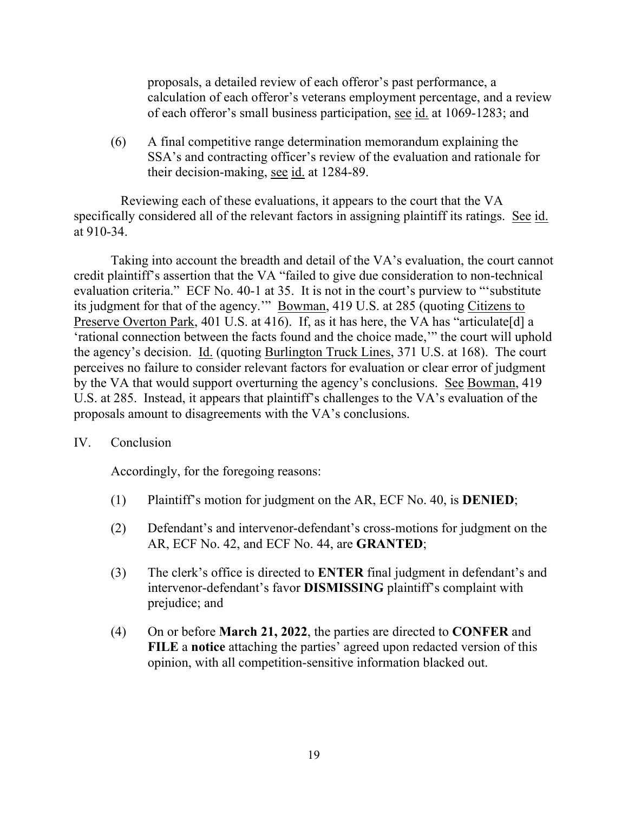proposals, a detailed review of each offeror's past performance, a calculation of each offeror's veterans employment percentage, and a review of each offeror's small business participation, see id. at 1069-1283; and

(6) A final competitive range determination memorandum explaining the SSA's and contracting officer's review of the evaluation and rationale for their decision-making, see id. at 1284-89.

 Reviewing each of these evaluations, it appears to the court that the VA specifically considered all of the relevant factors in assigning plaintiff its ratings. See id. at 910-34.

Taking into account the breadth and detail of the VA's evaluation, the court cannot credit plaintiff's assertion that the VA "failed to give due consideration to non-technical evaluation criteria." ECF No. 40-1 at 35. It is not in the court's purview to "'substitute its judgment for that of the agency.'" Bowman, 419 U.S. at 285 (quoting Citizens to Preserve Overton Park, 401 U.S. at 416). If, as it has here, the VA has "articulate [d] a 'rational connection between the facts found and the choice made,'" the court will uphold the agency's decision. Id. (quoting Burlington Truck Lines, 371 U.S. at 168). The court perceives no failure to consider relevant factors for evaluation or clear error of judgment by the VA that would support overturning the agency's conclusions. See Bowman, 419 U.S. at 285. Instead, it appears that plaintiff's challenges to the VA's evaluation of the proposals amount to disagreements with the VA's conclusions.

# IV. Conclusion

Accordingly, for the foregoing reasons:

- (1) Plaintiff's motion for judgment on the AR, ECF No. 40, is **DENIED**;
- (2) Defendant's and intervenor-defendant's cross-motions for judgment on the AR, ECF No. 42, and ECF No. 44, are **GRANTED**;
- (3) The clerk's office is directed to **ENTER** final judgment in defendant's and intervenor-defendant's favor **DISMISSING** plaintiff's complaint with prejudice; and
- (4) On or before **March 21, 2022**, the parties are directed to **CONFER** and **FILE** a **notice** attaching the parties' agreed upon redacted version of this opinion, with all competition-sensitive information blacked out.